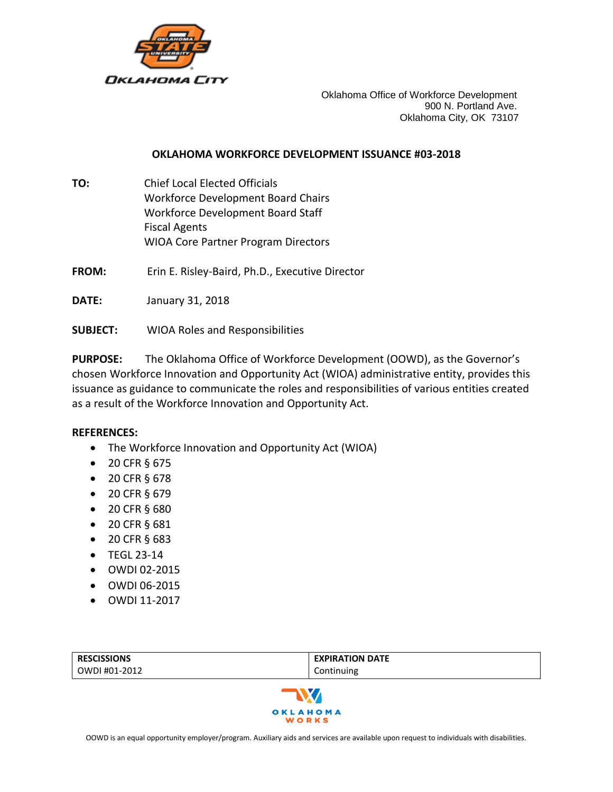

Oklahoma Office of Workforce Development 900 N. Portland Ave. Oklahoma City, OK 73107

#### **OKLAHOMA WORKFORCE DEVELOPMENT ISSUANCE #03-2018**

- **TO:** Chief Local Elected Officials Workforce Development Board Chairs Workforce Development Board Staff Fiscal Agents WIOA Core Partner Program Directors
- **FROM:** Erin E. Risley-Baird, Ph.D., Executive Director
- **DATE:** January 31, 2018
- **SUBJECT:** WIOA Roles and Responsibilities

**PURPOSE:** The Oklahoma Office of Workforce Development (OOWD), as the Governor's chosen Workforce Innovation and Opportunity Act (WIOA) administrative entity, provides this issuance as guidance to communicate the roles and responsibilities of various entities created as a result of the Workforce Innovation and Opportunity Act.

#### **REFERENCES:**

- The Workforce Innovation and Opportunity Act (WIOA)
- 20 CFR § 675
- 20 CFR § 678
- 20 CFR § 679
- 20 CFR § 680
- 20 CFR § 681
- 20 CFR § 683
- TEGL 23-14
- OWDI 02-2015
- OWDI 06-2015
- OWDI 11-2017

| <b>RESCISSIONS</b>    | <b>EXPIRATION DATE</b> |  |
|-----------------------|------------------------|--|
| OWDI #01-2012         | Continuing             |  |
| <b>TW</b><br>OKIAHOMA |                        |  |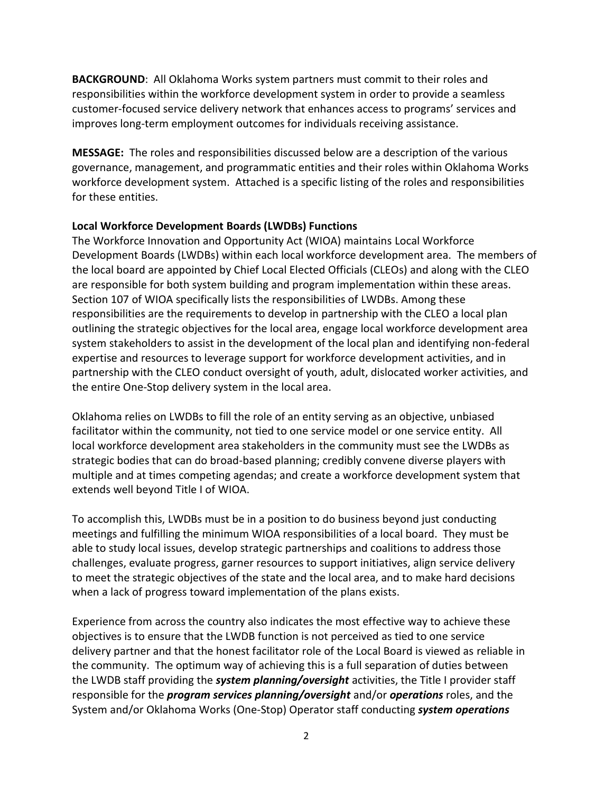**BACKGROUND**: All Oklahoma Works system partners must commit to their roles and responsibilities within the workforce development system in order to provide a seamless customer-focused service delivery network that enhances access to programs' services and improves long-term employment outcomes for individuals receiving assistance.

**MESSAGE:** The roles and responsibilities discussed below are a description of the various governance, management, and programmatic entities and their roles within Oklahoma Works workforce development system. Attached is a specific listing of the roles and responsibilities for these entities.

### **Local Workforce Development Boards (LWDBs) Functions**

The Workforce Innovation and Opportunity Act (WIOA) maintains Local Workforce Development Boards (LWDBs) within each local workforce development area. The members of the local board are appointed by Chief Local Elected Officials (CLEOs) and along with the CLEO are responsible for both system building and program implementation within these areas. Section 107 of WIOA specifically lists the responsibilities of LWDBs. Among these responsibilities are the requirements to develop in partnership with the CLEO a local plan outlining the strategic objectives for the local area, engage local workforce development area system stakeholders to assist in the development of the local plan and identifying non-federal expertise and resources to leverage support for workforce development activities, and in partnership with the CLEO conduct oversight of youth, adult, dislocated worker activities, and the entire One-Stop delivery system in the local area.

Oklahoma relies on LWDBs to fill the role of an entity serving as an objective, unbiased facilitator within the community, not tied to one service model or one service entity. All local workforce development area stakeholders in the community must see the LWDBs as strategic bodies that can do broad-based planning; credibly convene diverse players with multiple and at times competing agendas; and create a workforce development system that extends well beyond Title I of WIOA.

To accomplish this, LWDBs must be in a position to do business beyond just conducting meetings and fulfilling the minimum WIOA responsibilities of a local board. They must be able to study local issues, develop strategic partnerships and coalitions to address those challenges, evaluate progress, garner resources to support initiatives, align service delivery to meet the strategic objectives of the state and the local area, and to make hard decisions when a lack of progress toward implementation of the plans exists.

Experience from across the country also indicates the most effective way to achieve these objectives is to ensure that the LWDB function is not perceived as tied to one service delivery partner and that the honest facilitator role of the Local Board is viewed as reliable in the community. The optimum way of achieving this is a full separation of duties between the LWDB staff providing the *system planning/oversight* activities, the Title I provider staff responsible for the *program services planning/oversight* and/or *operations* roles, and the System and/or Oklahoma Works (One-Stop) Operator staff conducting *system operations*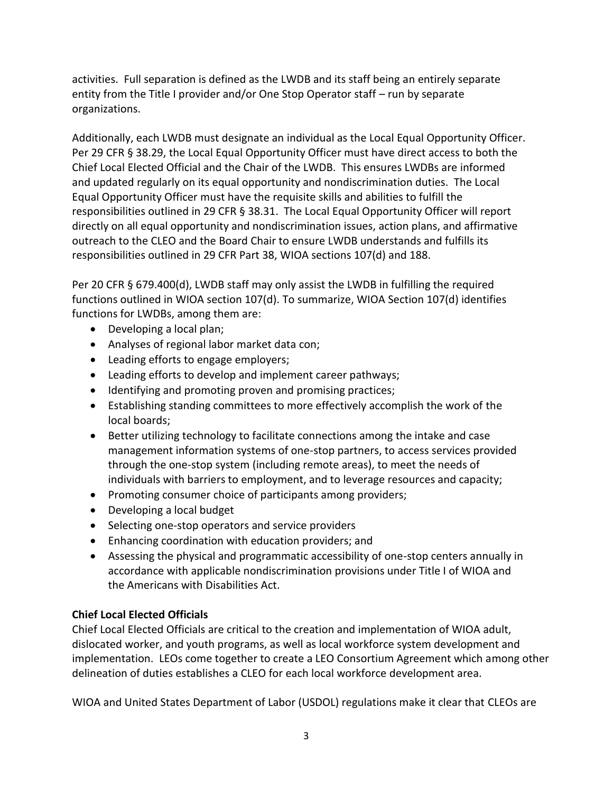activities. Full separation is defined as the LWDB and its staff being an entirely separate entity from the Title I provider and/or One Stop Operator staff – run by separate organizations.

Additionally, each LWDB must designate an individual as the Local Equal Opportunity Officer. Per 29 CFR § 38.29, the Local Equal Opportunity Officer must have direct access to both the Chief Local Elected Official and the Chair of the LWDB. This ensures LWDBs are informed and updated regularly on its equal opportunity and nondiscrimination duties. The Local Equal Opportunity Officer must have the requisite skills and abilities to fulfill the responsibilities outlined in 29 CFR § 38.31. The Local Equal Opportunity Officer will report directly on all equal opportunity and nondiscrimination issues, action plans, and affirmative outreach to the CLEO and the Board Chair to ensure LWDB understands and fulfills its responsibilities outlined in 29 CFR Part 38, WIOA sections 107(d) and 188.

Per 20 CFR § 679.400(d), LWDB staff may only assist the LWDB in fulfilling the required functions outlined in WIOA section 107(d). To summarize, WIOA Section 107(d) identifies functions for LWDBs, among them are:

- Developing a local plan;
- Analyses of regional labor market data con;
- Leading efforts to engage employers;
- Leading efforts to develop and implement career pathways;
- Identifying and promoting proven and promising practices;
- Establishing standing committees to more effectively accomplish the work of the local boards;
- Better utilizing technology to facilitate connections among the intake and case management information systems of one-stop partners, to access services provided through the one-stop system (including remote areas), to meet the needs of individuals with barriers to employment, and to leverage resources and capacity;
- Promoting consumer choice of participants among providers;
- Developing a local budget
- Selecting one-stop operators and service providers
- Enhancing coordination with education providers; and
- Assessing the physical and programmatic accessibility of one-stop centers annually in accordance with applicable nondiscrimination provisions under Title I of WIOA and the Americans with Disabilities Act.

# **Chief Local Elected Officials**

Chief Local Elected Officials are critical to the creation and implementation of WIOA adult, dislocated worker, and youth programs, as well as local workforce system development and implementation. LEOs come together to create a LEO Consortium Agreement which among other delineation of duties establishes a CLEO for each local workforce development area.

WIOA and United States Department of Labor (USDOL) regulations make it clear that CLEOs are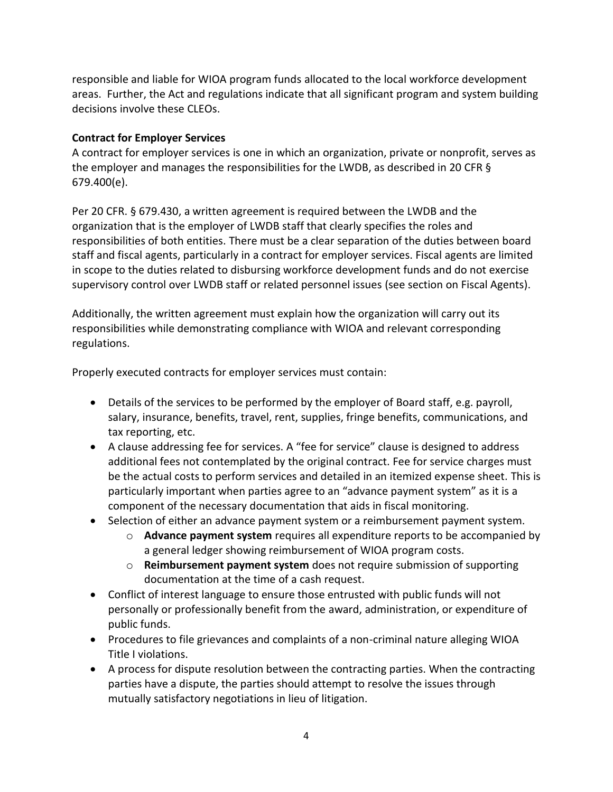responsible and liable for WIOA program funds allocated to the local workforce development areas. Further, the Act and regulations indicate that all significant program and system building decisions involve these CLEOs.

# **Contract for Employer Services**

A contract for employer services is one in which an organization, private or nonprofit, serves as the employer and manages the responsibilities for the LWDB, as described in 20 CFR § 679.400(e).

Per 20 CFR. § 679.430, a written agreement is required between the LWDB and the organization that is the employer of LWDB staff that clearly specifies the roles and responsibilities of both entities. There must be a clear separation of the duties between board staff and fiscal agents, particularly in a contract for employer services. Fiscal agents are limited in scope to the duties related to disbursing workforce development funds and do not exercise supervisory control over LWDB staff or related personnel issues (see section on Fiscal Agents).

Additionally, the written agreement must explain how the organization will carry out its responsibilities while demonstrating compliance with WIOA and relevant corresponding regulations.

Properly executed contracts for employer services must contain:

- Details of the services to be performed by the employer of Board staff, e.g. payroll, salary, insurance, benefits, travel, rent, supplies, fringe benefits, communications, and tax reporting, etc.
- A clause addressing fee for services. A "fee for service" clause is designed to address additional fees not contemplated by the original contract. Fee for service charges must be the actual costs to perform services and detailed in an itemized expense sheet. This is particularly important when parties agree to an "advance payment system" as it is a component of the necessary documentation that aids in fiscal monitoring.
- Selection of either an advance payment system or a reimbursement payment system.
	- o **Advance payment system** requires all expenditure reports to be accompanied by a general ledger showing reimbursement of WIOA program costs.
	- o **Reimbursement payment system** does not require submission of supporting documentation at the time of a cash request.
- Conflict of interest language to ensure those entrusted with public funds will not personally or professionally benefit from the award, administration, or expenditure of public funds.
- Procedures to file grievances and complaints of a non-criminal nature alleging WIOA Title I violations.
- A process for dispute resolution between the contracting parties. When the contracting parties have a dispute, the parties should attempt to resolve the issues through mutually satisfactory negotiations in lieu of litigation.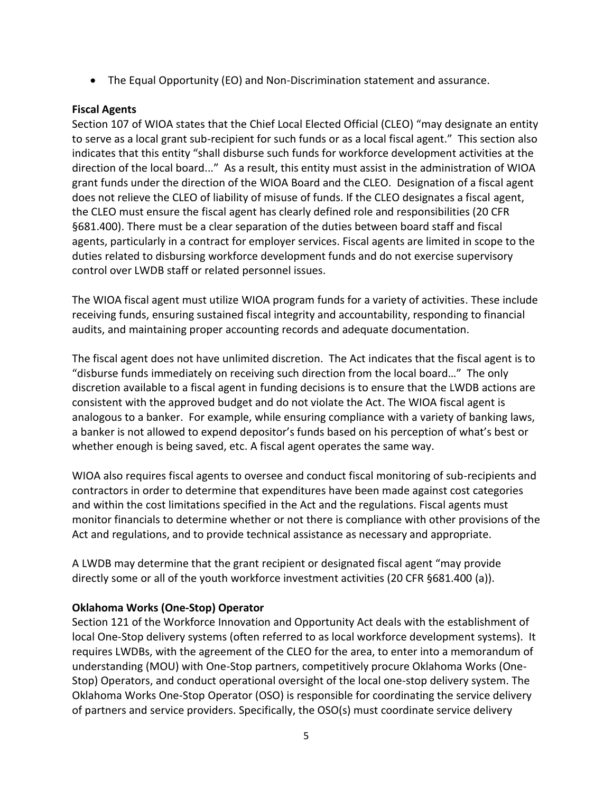The Equal Opportunity (EO) and Non-Discrimination statement and assurance.

# **Fiscal Agents**

Section 107 of WIOA states that the Chief Local Elected Official (CLEO) "may designate an entity to serve as a local grant sub-recipient for such funds or as a local fiscal agent." This section also indicates that this entity "shall disburse such funds for workforce development activities at the direction of the local board..." As a result, this entity must assist in the administration of WIOA grant funds under the direction of the WIOA Board and the CLEO. Designation of a fiscal agent does not relieve the CLEO of liability of misuse of funds. If the CLEO designates a fiscal agent, the CLEO must ensure the fiscal agent has clearly defined role and responsibilities (20 CFR §681.400). There must be a clear separation of the duties between board staff and fiscal agents, particularly in a contract for employer services. Fiscal agents are limited in scope to the duties related to disbursing workforce development funds and do not exercise supervisory control over LWDB staff or related personnel issues.

The WIOA fiscal agent must utilize WIOA program funds for a variety of activities. These include receiving funds, ensuring sustained fiscal integrity and accountability, responding to financial audits, and maintaining proper accounting records and adequate documentation.

The fiscal agent does not have unlimited discretion. The Act indicates that the fiscal agent is to "disburse funds immediately on receiving such direction from the local board…" The only discretion available to a fiscal agent in funding decisions is to ensure that the LWDB actions are consistent with the approved budget and do not violate the Act. The WIOA fiscal agent is analogous to a banker. For example, while ensuring compliance with a variety of banking laws, a banker is not allowed to expend depositor's funds based on his perception of what's best or whether enough is being saved, etc. A fiscal agent operates the same way.

WIOA also requires fiscal agents to oversee and conduct fiscal monitoring of sub-recipients and contractors in order to determine that expenditures have been made against cost categories and within the cost limitations specified in the Act and the regulations. Fiscal agents must monitor financials to determine whether or not there is compliance with other provisions of the Act and regulations, and to provide technical assistance as necessary and appropriate.

A LWDB may determine that the grant recipient or designated fiscal agent "may provide directly some or all of the youth workforce investment activities (20 CFR §681.400 (a)).

# **Oklahoma Works (One-Stop) Operator**

Section 121 of the Workforce Innovation and Opportunity Act deals with the establishment of local One-Stop delivery systems (often referred to as local workforce development systems). It requires LWDBs, with the agreement of the CLEO for the area, to enter into a memorandum of understanding (MOU) with One-Stop partners, competitively procure Oklahoma Works (One-Stop) Operators, and conduct operational oversight of the local one-stop delivery system. The Oklahoma Works One-Stop Operator (OSO) is responsible for coordinating the service delivery of partners and service providers. Specifically, the OSO(s) must coordinate service delivery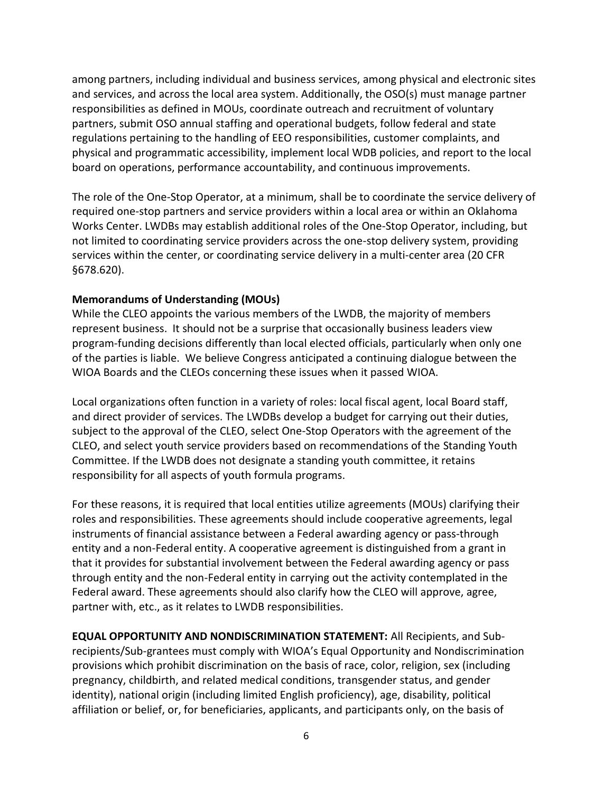among partners, including individual and business services, among physical and electronic sites and services, and across the local area system. Additionally, the OSO(s) must manage partner responsibilities as defined in MOUs, coordinate outreach and recruitment of voluntary partners, submit OSO annual staffing and operational budgets, follow federal and state regulations pertaining to the handling of EEO responsibilities, customer complaints, and physical and programmatic accessibility, implement local WDB policies, and report to the local board on operations, performance accountability, and continuous improvements.

The role of the One-Stop Operator, at a minimum, shall be to coordinate the service delivery of required one-stop partners and service providers within a local area or within an Oklahoma Works Center. LWDBs may establish additional roles of the One-Stop Operator, including, but not limited to coordinating service providers across the one-stop delivery system, providing services within the center, or coordinating service delivery in a multi-center area (20 CFR §678.620).

### **Memorandums of Understanding (MOUs)**

While the CLEO appoints the various members of the LWDB, the majority of members represent business. It should not be a surprise that occasionally business leaders view program-funding decisions differently than local elected officials, particularly when only one of the parties is liable. We believe Congress anticipated a continuing dialogue between the WIOA Boards and the CLEOs concerning these issues when it passed WIOA.

Local organizations often function in a variety of roles: local fiscal agent, local Board staff, and direct provider of services. The LWDBs develop a budget for carrying out their duties, subject to the approval of the CLEO, select One-Stop Operators with the agreement of the CLEO, and select youth service providers based on recommendations of the Standing Youth Committee. If the LWDB does not designate a standing youth committee, it retains responsibility for all aspects of youth formula programs.

For these reasons, it is required that local entities utilize agreements (MOUs) clarifying their roles and responsibilities. These agreements should include cooperative agreements, legal instruments of financial assistance between a Federal awarding agency or pass-through entity and a non-Federal entity. A cooperative agreement is distinguished from a grant in that it provides for substantial involvement between the Federal awarding agency or pass through entity and the non-Federal entity in carrying out the activity contemplated in the Federal award. These agreements should also clarify how the CLEO will approve, agree, partner with, etc., as it relates to LWDB responsibilities.

**EQUAL OPPORTUNITY AND NONDISCRIMINATION STATEMENT:** All Recipients, and Subrecipients/Sub-grantees must comply with WIOA's Equal Opportunity and Nondiscrimination provisions which prohibit discrimination on the basis of race, color, religion, sex (including pregnancy, childbirth, and related medical conditions, transgender status, and gender identity), national origin (including limited English proficiency), age, disability, political affiliation or belief, or, for beneficiaries, applicants, and participants only, on the basis of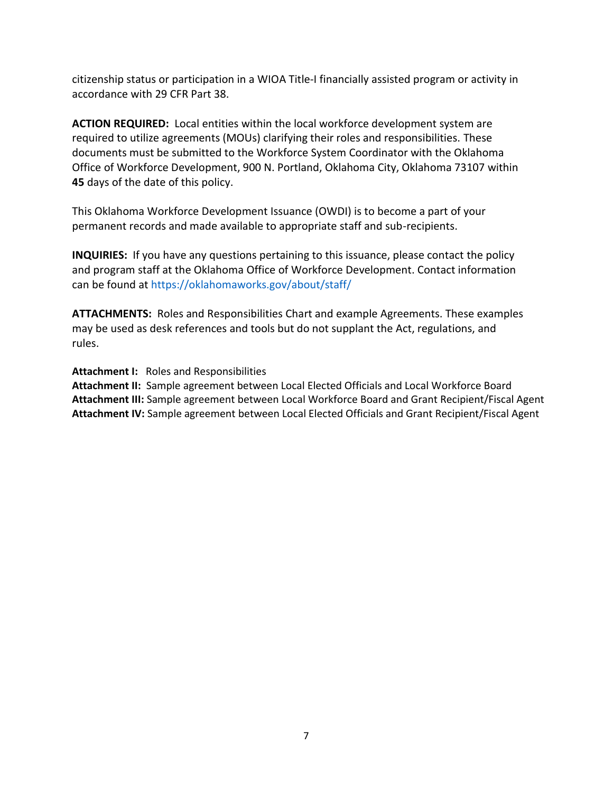citizenship status or participation in a WIOA Title-I financially assisted program or activity in accordance with 29 CFR Part 38.

**ACTION REQUIRED:** Local entities within the local workforce development system are required to utilize agreements (MOUs) clarifying their roles and responsibilities. These documents must be submitted to the Workforce System Coordinator with the Oklahoma Office of Workforce Development, 900 N. Portland, Oklahoma City, Oklahoma 73107 within **45** days of the date of this policy.

This Oklahoma Workforce Development Issuance (OWDI) is to become a part of your permanent records and made available to appropriate staff and sub-recipients.

**INQUIRIES:** If you have any questions pertaining to this issuance, please contact the policy and program staff at the Oklahoma Office of Workforce Development. Contact information can be found at<https://oklahomaworks.gov/about/staff/>

**ATTACHMENTS:** Roles and Responsibilities Chart and example Agreements. These examples may be used as desk references and tools but do not supplant the Act, regulations, and rules.

### **Attachment I:** Roles and Responsibilities

**Attachment II:** Sample agreement between Local Elected Officials and Local Workforce Board **Attachment III:** Sample agreement between Local Workforce Board and Grant Recipient/Fiscal Agent **Attachment IV:** Sample agreement between Local Elected Officials and Grant Recipient/Fiscal Agent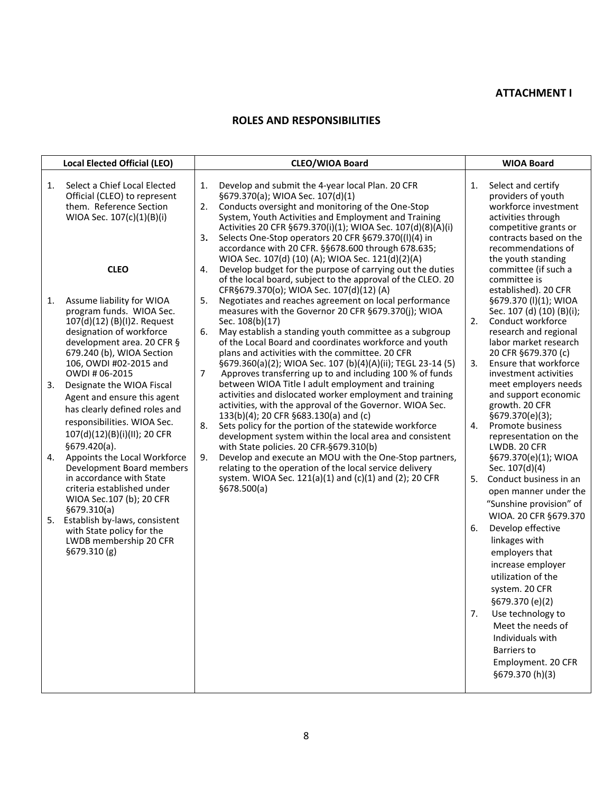#### **ATTACHMENT I**

#### **ROLES AND RESPONSIBILITIES**

| <b>Local Elected Official (LEO)</b>                                                                                                                                                                         |                            | <b>CLEO/WIOA Board</b>                                                                                                                                                                                                                                                                                                                                                                                                                                                                                    | <b>WIOA Board</b> |                                                                                                                                                                                                                                                                   |
|-------------------------------------------------------------------------------------------------------------------------------------------------------------------------------------------------------------|----------------------------|-----------------------------------------------------------------------------------------------------------------------------------------------------------------------------------------------------------------------------------------------------------------------------------------------------------------------------------------------------------------------------------------------------------------------------------------------------------------------------------------------------------|-------------------|-------------------------------------------------------------------------------------------------------------------------------------------------------------------------------------------------------------------------------------------------------------------|
| Select a Chief Local Elected<br>1.<br>Official (CLEO) to represent<br>them. Reference Section<br>WIOA Sec. 107(c)(1)(B)(i)<br><b>CLEO</b>                                                                   | 1.<br>2.<br>3.<br>4.       | Develop and submit the 4-year local Plan. 20 CFR<br>§679.370(a); WIOA Sec. 107(d)(1)<br>Conducts oversight and monitoring of the One-Stop<br>System, Youth Activities and Employment and Training<br>Activities 20 CFR §679.370(i)(1); WIOA Sec. 107(d)(8)(A)(i)<br>Selects One-Stop operators 20 CFR §679.370((I)(4) in<br>accordance with 20 CFR. §§678.600 through 678.635;<br>WIOA Sec. 107(d) (10) (A); WIOA Sec. 121(d)(2)(A)<br>Develop budget for the purpose of carrying out the duties          | 1.                | Select and certify<br>providers of youth<br>workforce investment<br>activities through<br>competitive grants or<br>contracts based on the<br>recommendations of<br>the youth standing<br>committee (if such a                                                     |
| 1.<br>Assume liability for WIOA<br>program funds. WIOA Sec.<br>107(d)(12) (B)(I)2. Request<br>designation of workforce<br>development area. 20 CFR §<br>679.240 (b), WIOA Section<br>106, OWDI #02-2015 and | 5.<br>6.                   | of the local board, subject to the approval of the CLEO. 20<br>CFR§679.370(o); WIOA Sec. 107(d)(12)(A)<br>Negotiates and reaches agreement on local performance<br>measures with the Governor 20 CFR §679.370(j); WIOA<br>Sec. 108(b)(17)<br>May establish a standing youth committee as a subgroup<br>of the Local Board and coordinates workforce and youth<br>plans and activities with the committee. 20 CFR<br>§679.360(a)(2); WIOA Sec. 107 (b)(4)(A)(ii); TEGL 23-14 (5)                           | 2.<br>3.          | committee is<br>established). 20 CFR<br>§679.370 (I)(1); WIOA<br>Sec. 107 (d) (10) (B)(i);<br>Conduct workforce<br>research and regional<br>labor market research<br>20 CFR §679.370 (c)<br>Ensure that workforce                                                 |
| OWDI # 06-2015<br>Designate the WIOA Fiscal<br>3.<br>Agent and ensure this agent<br>has clearly defined roles and<br>responsibilities. WIOA Sec.<br>107(d)(12)(B)(i)(II); 20 CFR<br>§679.420(a).<br>4.      | $\overline{7}$<br>8.<br>9. | Approves transferring up to and including 100 % of funds<br>between WIOA Title I adult employment and training<br>activities and dislocated worker employment and training<br>activities, with the approval of the Governor. WIOA Sec.<br>133(b)(4); 20 CFR §683.130(a) and (c)<br>Sets policy for the portion of the statewide workforce<br>development system within the local area and consistent<br>with State policies. 20 CFR-§679.310(b)<br>Develop and execute an MOU with the One-Stop partners, | 4.                | investment activities<br>meet employers needs<br>and support economic<br>growth. 20 CFR<br>§679.370(e)(3);<br>Promote business<br>representation on the<br>LWDB. 20 CFR<br>§679.370(e)(1); WIOA                                                                   |
| Appoints the Local Workforce<br>Development Board members<br>in accordance with State<br>criteria established under<br>WIOA Sec. 107 (b); 20 CFR<br>§679.310(a)                                             |                            | relating to the operation of the local service delivery<br>system. WIOA Sec. 121(a)(1) and (c)(1) and (2); 20 CFR<br>§678.500(a)                                                                                                                                                                                                                                                                                                                                                                          | 5.                | Sec. 107(d)(4)<br>Conduct business in an<br>open manner under the<br>"Sunshine provision" of<br>WIOA. 20 CFR §679.370                                                                                                                                             |
| 5. Establish by-laws, consistent<br>with State policy for the<br>LWDB membership 20 CFR<br>§679.310(g)                                                                                                      |                            |                                                                                                                                                                                                                                                                                                                                                                                                                                                                                                           | 6.<br>7.          | Develop effective<br>linkages with<br>employers that<br>increase employer<br>utilization of the<br>system. 20 CFR<br>§679.370 (e)(2)<br>Use technology to<br>Meet the needs of<br>Individuals with<br><b>Barriers</b> to<br>Employment. 20 CFR<br>§679.370 (h)(3) |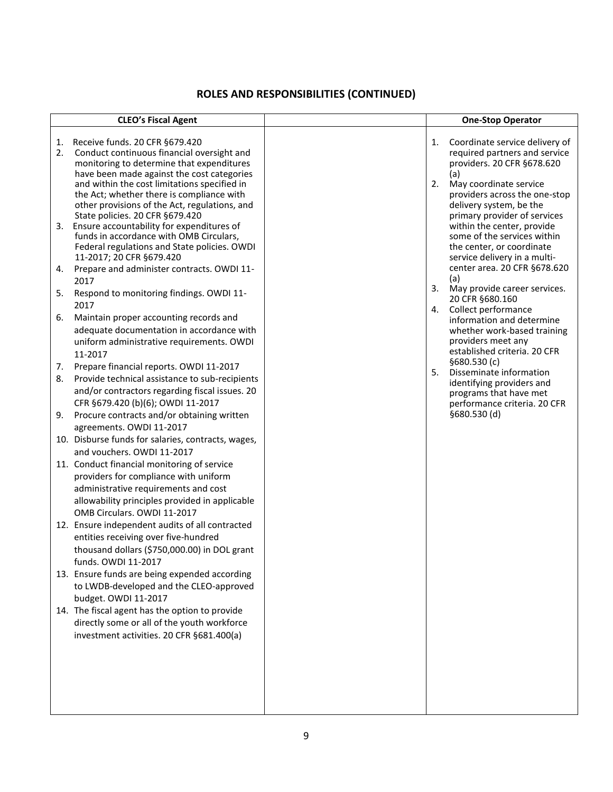# **ROLES AND RESPONSIBILITIES (CONTINUED)**

|          | <b>CLEO's Fiscal Agent</b>                                                                                                                                                                                                                                                                                                                               |          | <b>One-Stop Operator</b>                                                                                                                                                                                                   |
|----------|----------------------------------------------------------------------------------------------------------------------------------------------------------------------------------------------------------------------------------------------------------------------------------------------------------------------------------------------------------|----------|----------------------------------------------------------------------------------------------------------------------------------------------------------------------------------------------------------------------------|
| 1.<br>2. | Receive funds. 20 CFR §679.420<br>Conduct continuous financial oversight and<br>monitoring to determine that expenditures<br>have been made against the cost categories<br>and within the cost limitations specified in<br>the Act; whether there is compliance with<br>other provisions of the Act, regulations, and<br>State policies. 20 CFR §679.420 | 1.<br>2. | Coordinate service delivery of<br>required partners and service<br>providers. 20 CFR §678.620<br>(a)<br>May coordinate service<br>providers across the one-stop<br>delivery system, be the<br>primary provider of services |
| 3.       | Ensure accountability for expenditures of<br>funds in accordance with OMB Circulars,<br>Federal regulations and State policies. OWDI<br>11-2017; 20 CFR §679.420                                                                                                                                                                                         |          | within the center, provide<br>some of the services within<br>the center, or coordinate<br>service delivery in a multi-                                                                                                     |
| 4.       | Prepare and administer contracts. OWDI 11-<br>2017                                                                                                                                                                                                                                                                                                       |          | center area. 20 CFR §678.620<br>(a)                                                                                                                                                                                        |
| 5.       | Respond to monitoring findings. OWDI 11-<br>2017                                                                                                                                                                                                                                                                                                         | 3.<br>4. | May provide career services.<br>20 CFR §680.160<br>Collect performance                                                                                                                                                     |
| 6.       | Maintain proper accounting records and<br>adequate documentation in accordance with<br>uniform administrative requirements. OWDI<br>11-2017                                                                                                                                                                                                              |          | information and determine<br>whether work-based training<br>providers meet any<br>established criteria. 20 CFR                                                                                                             |
| 7.<br>8. | Prepare financial reports. OWDI 11-2017<br>Provide technical assistance to sub-recipients<br>and/or contractors regarding fiscal issues. 20<br>CFR §679.420 (b)(6); OWDI 11-2017                                                                                                                                                                         | 5.       | §680.530(c)<br>Disseminate information<br>identifying providers and<br>programs that have met<br>performance criteria. 20 CFR                                                                                              |
| 9.       | Procure contracts and/or obtaining written<br>agreements. OWDI 11-2017                                                                                                                                                                                                                                                                                   |          | §680.530(d)                                                                                                                                                                                                                |
|          | 10. Disburse funds for salaries, contracts, wages,<br>and vouchers. OWDI 11-2017                                                                                                                                                                                                                                                                         |          |                                                                                                                                                                                                                            |
|          | 11. Conduct financial monitoring of service<br>providers for compliance with uniform<br>administrative requirements and cost<br>allowability principles provided in applicable<br>OMB Circulars. OWDI 11-2017                                                                                                                                            |          |                                                                                                                                                                                                                            |
|          | 12. Ensure independent audits of all contracted<br>entities receiving over five-hundred<br>thousand dollars (\$750,000.00) in DOL grant<br>funds. OWDI 11-2017                                                                                                                                                                                           |          |                                                                                                                                                                                                                            |
|          | 13. Ensure funds are being expended according<br>to LWDB-developed and the CLEO-approved<br>budget. OWDI 11-2017                                                                                                                                                                                                                                         |          |                                                                                                                                                                                                                            |
|          | 14. The fiscal agent has the option to provide<br>directly some or all of the youth workforce<br>investment activities. 20 CFR §681.400(a)                                                                                                                                                                                                               |          |                                                                                                                                                                                                                            |
|          |                                                                                                                                                                                                                                                                                                                                                          |          |                                                                                                                                                                                                                            |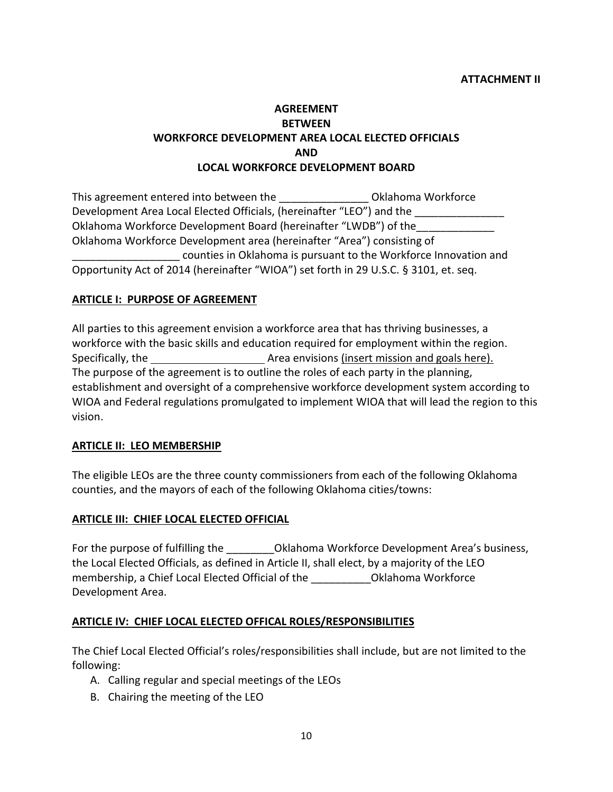# **AGREEMENT BETWEEN WORKFORCE DEVELOPMENT AREA LOCAL ELECTED OFFICIALS AND LOCAL WORKFORCE DEVELOPMENT BOARD**

This agreement entered into between the This agreement entered into between the This agreement of Districts. Development Area Local Elected Officials, (hereinafter "LEO") and the \_\_\_\_\_\_\_\_\_\_\_ Oklahoma Workforce Development Board (hereinafter "LWDB") of the\_\_\_\_\_\_\_\_\_\_\_\_\_ Oklahoma Workforce Development area (hereinafter "Area") consisting of \_\_\_\_\_\_\_\_\_\_\_\_\_\_\_\_\_\_ counties in Oklahoma is pursuant to the Workforce Innovation and Opportunity Act of 2014 (hereinafter "WIOA") set forth in 29 U.S.C. § 3101, et. seq.

### **ARTICLE I: PURPOSE OF AGREEMENT**

All parties to this agreement envision a workforce area that has thriving businesses, a workforce with the basic skills and education required for employment within the region. Specifically, the Area envisions (insert mission and goals here). The purpose of the agreement is to outline the roles of each party in the planning, establishment and oversight of a comprehensive workforce development system according to WIOA and Federal regulations promulgated to implement WIOA that will lead the region to this vision.

### **ARTICLE II: LEO MEMBERSHIP**

The eligible LEOs are the three county commissioners from each of the following Oklahoma counties, and the mayors of each of the following Oklahoma cities/towns:

### **ARTICLE III: CHIEF LOCAL ELECTED OFFICIAL**

For the purpose of fulfilling the **Chall** Oklahoma Workforce Development Area's business, the Local Elected Officials, as defined in Article II, shall elect, by a majority of the LEO membership, a Chief Local Elected Official of the **Child Containers** Oklahoma Workforce Development Area.

### **ARTICLE IV: CHIEF LOCAL ELECTED OFFICAL ROLES/RESPONSIBILITIES**

The Chief Local Elected Official's roles/responsibilities shall include, but are not limited to the following:

- A. Calling regular and special meetings of the LEOs
- B. Chairing the meeting of the LEO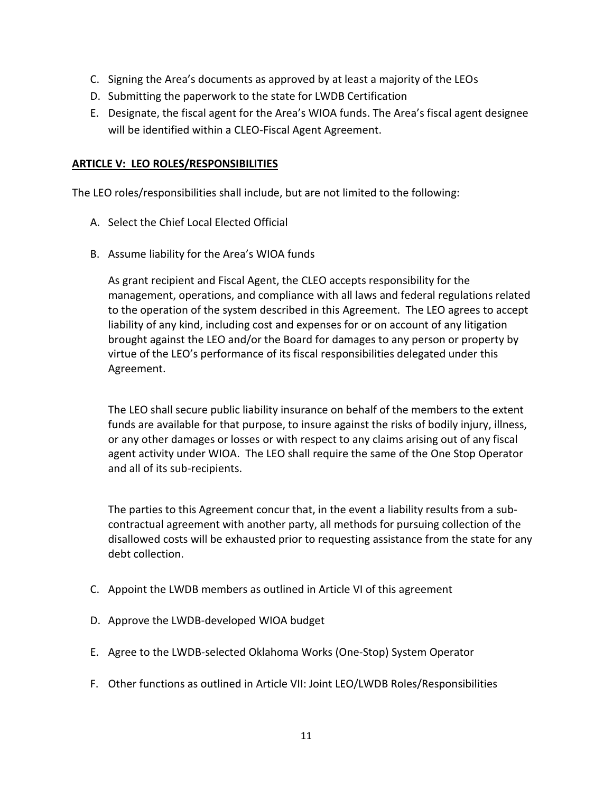- C. Signing the Area's documents as approved by at least a majority of the LEOs
- D. Submitting the paperwork to the state for LWDB Certification
- E. Designate, the fiscal agent for the Area's WIOA funds. The Area's fiscal agent designee will be identified within a CLEO-Fiscal Agent Agreement.

### **ARTICLE V: LEO ROLES/RESPONSIBILITIES**

The LEO roles/responsibilities shall include, but are not limited to the following:

- A. Select the Chief Local Elected Official
- B. Assume liability for the Area's WIOA funds

As grant recipient and Fiscal Agent, the CLEO accepts responsibility for the management, operations, and compliance with all laws and federal regulations related to the operation of the system described in this Agreement. The LEO agrees to accept liability of any kind, including cost and expenses for or on account of any litigation brought against the LEO and/or the Board for damages to any person or property by virtue of the LEO's performance of its fiscal responsibilities delegated under this Agreement.

The LEO shall secure public liability insurance on behalf of the members to the extent funds are available for that purpose, to insure against the risks of bodily injury, illness, or any other damages or losses or with respect to any claims arising out of any fiscal agent activity under WIOA. The LEO shall require the same of the One Stop Operator and all of its sub-recipients.

The parties to this Agreement concur that, in the event a liability results from a subcontractual agreement with another party, all methods for pursuing collection of the disallowed costs will be exhausted prior to requesting assistance from the state for any debt collection.

- C. Appoint the LWDB members as outlined in Article VI of this agreement
- D. Approve the LWDB-developed WIOA budget
- E. Agree to the LWDB-selected Oklahoma Works (One-Stop) System Operator
- F. Other functions as outlined in Article VII: Joint LEO/LWDB Roles/Responsibilities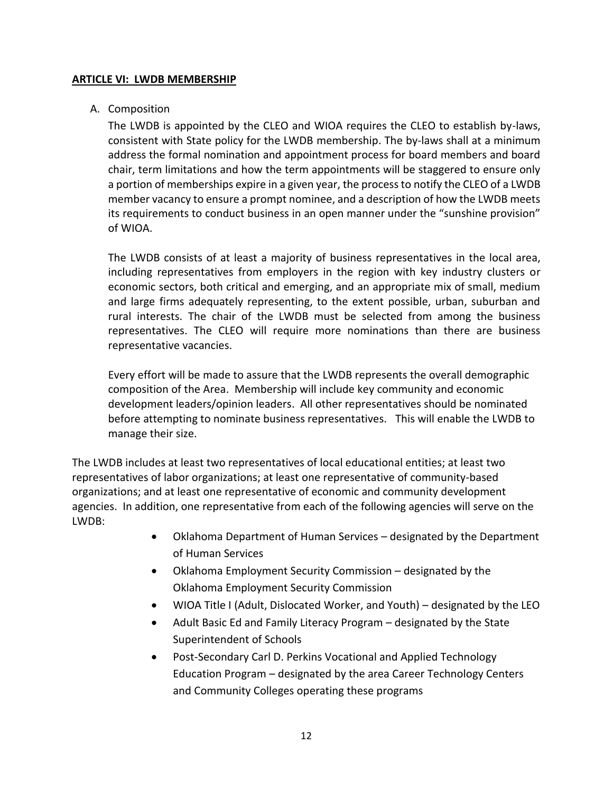### **ARTICLE VI: LWDB MEMBERSHIP**

### A. Composition

The LWDB is appointed by the CLEO and WIOA requires the CLEO to establish by-laws, consistent with State policy for the LWDB membership. The by-laws shall at a minimum address the formal nomination and appointment process for board members and board chair, term limitations and how the term appointments will be staggered to ensure only a portion of memberships expire in a given year, the process to notify the CLEO of a LWDB member vacancy to ensure a prompt nominee, and a description of how the LWDB meets its requirements to conduct business in an open manner under the "sunshine provision" of WIOA.

The LWDB consists of at least a majority of business representatives in the local area, including representatives from employers in the region with key industry clusters or economic sectors, both critical and emerging, and an appropriate mix of small, medium and large firms adequately representing, to the extent possible, urban, suburban and rural interests. The chair of the LWDB must be selected from among the business representatives. The CLEO will require more nominations than there are business representative vacancies.

Every effort will be made to assure that the LWDB represents the overall demographic composition of the Area. Membership will include key community and economic development leaders/opinion leaders. All other representatives should be nominated before attempting to nominate business representatives. This will enable the LWDB to manage their size.

The LWDB includes at least two representatives of local educational entities; at least two representatives of labor organizations; at least one representative of community-based organizations; and at least one representative of economic and community development agencies. In addition, one representative from each of the following agencies will serve on the LWDB:

- Oklahoma Department of Human Services designated by the Department of Human Services
- Oklahoma Employment Security Commission designated by the Oklahoma Employment Security Commission
- WIOA Title I (Adult, Dislocated Worker, and Youth) designated by the LEO
- Adult Basic Ed and Family Literacy Program designated by the State Superintendent of Schools
- Post-Secondary Carl D. Perkins Vocational and Applied Technology Education Program – designated by the area Career Technology Centers and Community Colleges operating these programs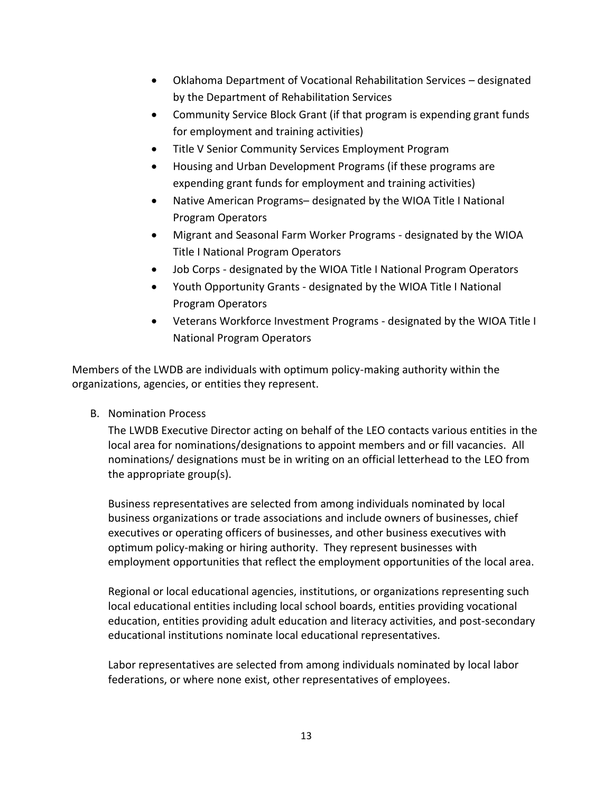- Oklahoma Department of Vocational Rehabilitation Services designated by the Department of Rehabilitation Services
- Community Service Block Grant (if that program is expending grant funds for employment and training activities)
- Title V Senior Community Services Employment Program
- Housing and Urban Development Programs (if these programs are expending grant funds for employment and training activities)
- Native American Programs– designated by the WIOA Title I National Program Operators
- Migrant and Seasonal Farm Worker Programs designated by the WIOA Title I National Program Operators
- Job Corps designated by the WIOA Title I National Program Operators
- Youth Opportunity Grants designated by the WIOA Title I National Program Operators
- Veterans Workforce Investment Programs designated by the WIOA Title I National Program Operators

Members of the LWDB are individuals with optimum policy-making authority within the organizations, agencies, or entities they represent.

B. Nomination Process

The LWDB Executive Director acting on behalf of the LEO contacts various entities in the local area for nominations/designations to appoint members and or fill vacancies. All nominations/ designations must be in writing on an official letterhead to the LEO from the appropriate group(s).

Business representatives are selected from among individuals nominated by local business organizations or trade associations and include owners of businesses, chief executives or operating officers of businesses, and other business executives with optimum policy-making or hiring authority. They represent businesses with employment opportunities that reflect the employment opportunities of the local area.

Regional or local educational agencies, institutions, or organizations representing such local educational entities including local school boards, entities providing vocational education, entities providing adult education and literacy activities, and post-secondary educational institutions nominate local educational representatives.

Labor representatives are selected from among individuals nominated by local labor federations, or where none exist, other representatives of employees.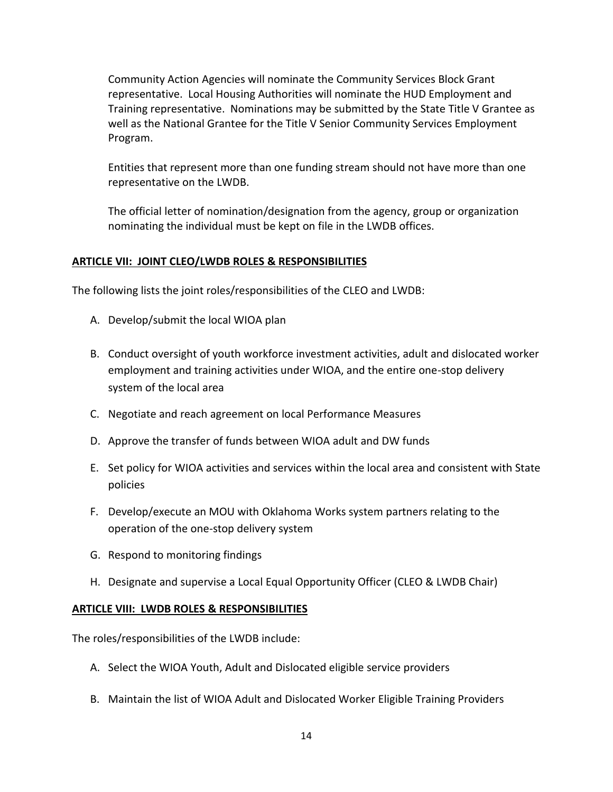Community Action Agencies will nominate the Community Services Block Grant representative. Local Housing Authorities will nominate the HUD Employment and Training representative. Nominations may be submitted by the State Title V Grantee as well as the National Grantee for the Title V Senior Community Services Employment Program.

Entities that represent more than one funding stream should not have more than one representative on the LWDB.

The official letter of nomination/designation from the agency, group or organization nominating the individual must be kept on file in the LWDB offices.

### **ARTICLE VII: JOINT CLEO/LWDB ROLES & RESPONSIBILITIES**

The following lists the joint roles/responsibilities of the CLEO and LWDB:

- A. Develop/submit the local WIOA plan
- B. Conduct oversight of youth workforce investment activities, adult and dislocated worker employment and training activities under WIOA, and the entire one-stop delivery system of the local area
- C. Negotiate and reach agreement on local Performance Measures
- D. Approve the transfer of funds between WIOA adult and DW funds
- E. Set policy for WIOA activities and services within the local area and consistent with State policies
- F. Develop/execute an MOU with Oklahoma Works system partners relating to the operation of the one-stop delivery system
- G. Respond to monitoring findings
- H. Designate and supervise a Local Equal Opportunity Officer (CLEO & LWDB Chair)

### **ARTICLE VIII: LWDB ROLES & RESPONSIBILITIES**

The roles/responsibilities of the LWDB include:

- A. Select the WIOA Youth, Adult and Dislocated eligible service providers
- B. Maintain the list of WIOA Adult and Dislocated Worker Eligible Training Providers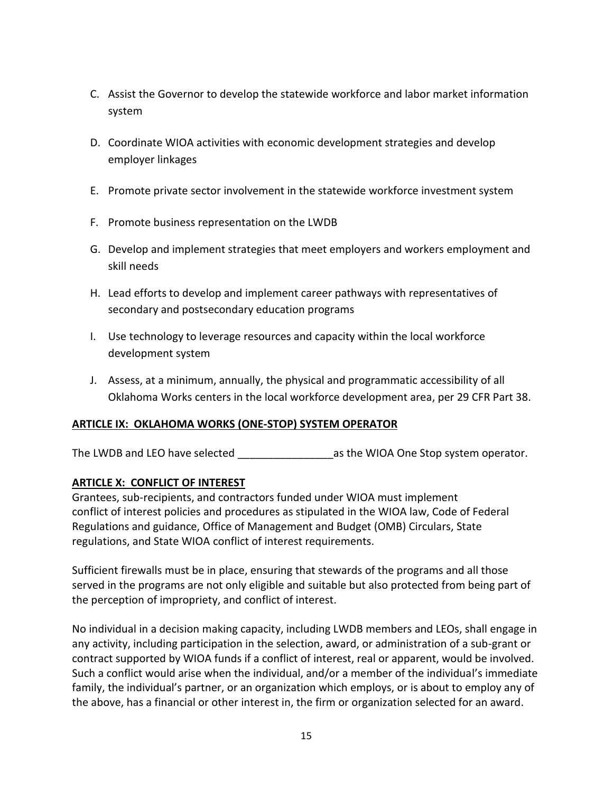- C. Assist the Governor to develop the statewide workforce and labor market information system
- D. Coordinate WIOA activities with economic development strategies and develop employer linkages
- E. Promote private sector involvement in the statewide workforce investment system
- F. Promote business representation on the LWDB
- G. Develop and implement strategies that meet employers and workers employment and skill needs
- H. Lead efforts to develop and implement career pathways with representatives of secondary and postsecondary education programs
- I. Use technology to leverage resources and capacity within the local workforce development system
- J. Assess, at a minimum, annually, the physical and programmatic accessibility of all Oklahoma Works centers in the local workforce development area, per 29 CFR Part 38.

# **ARTICLE IX: OKLAHOMA WORKS (ONE-STOP) SYSTEM OPERATOR**

The LWDB and LEO have selected and as the WIOA One Stop system operator.

# **ARTICLE X: CONFLICT OF INTEREST**

Grantees, sub-recipients, and contractors funded under WIOA must implement conflict of interest policies and procedures as stipulated in the WIOA law, Code of Federal Regulations and guidance, Office of Management and Budget (OMB) Circulars, State regulations, and State WIOA conflict of interest requirements.

Sufficient firewalls must be in place, ensuring that stewards of the programs and all those served in the programs are not only eligible and suitable but also protected from being part of the perception of impropriety, and conflict of interest.

No individual in a decision making capacity, including LWDB members and LEOs, shall engage in any activity, including participation in the selection, award, or administration of a sub-grant or contract supported by WIOA funds if a conflict of interest, real or apparent, would be involved. Such a conflict would arise when the individual, and/or a member of the individual's immediate family, the individual's partner, or an organization which employs, or is about to employ any of the above, has a financial or other interest in, the firm or organization selected for an award.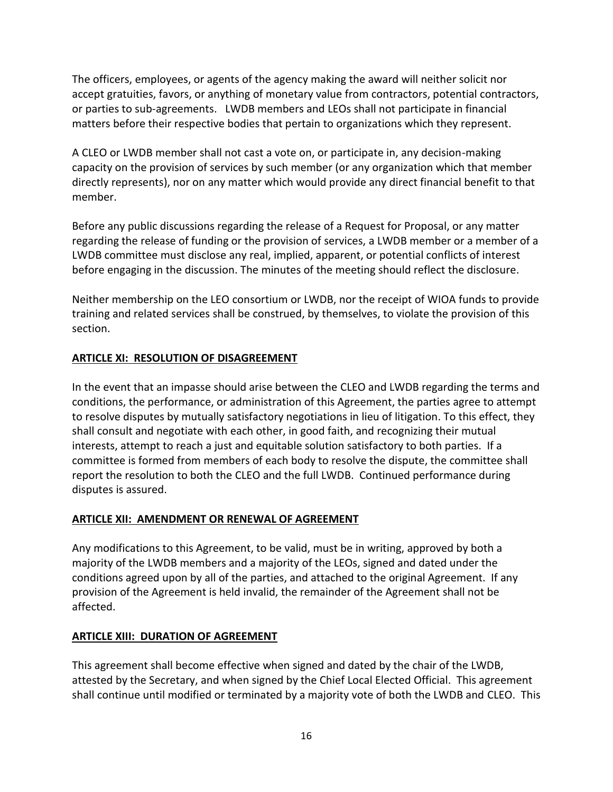The officers, employees, or agents of the agency making the award will neither solicit nor accept gratuities, favors, or anything of monetary value from contractors, potential contractors, or parties to sub-agreements. LWDB members and LEOs shall not participate in financial matters before their respective bodies that pertain to organizations which they represent.

A CLEO or LWDB member shall not cast a vote on, or participate in, any decision-making capacity on the provision of services by such member (or any organization which that member directly represents), nor on any matter which would provide any direct financial benefit to that member.

Before any public discussions regarding the release of a Request for Proposal, or any matter regarding the release of funding or the provision of services, a LWDB member or a member of a LWDB committee must disclose any real, implied, apparent, or potential conflicts of interest before engaging in the discussion. The minutes of the meeting should reflect the disclosure.

Neither membership on the LEO consortium or LWDB, nor the receipt of WIOA funds to provide training and related services shall be construed, by themselves, to violate the provision of this section.

# **ARTICLE XI: RESOLUTION OF DISAGREEMENT**

In the event that an impasse should arise between the CLEO and LWDB regarding the terms and conditions, the performance, or administration of this Agreement, the parties agree to attempt to resolve disputes by mutually satisfactory negotiations in lieu of litigation. To this effect, they shall consult and negotiate with each other, in good faith, and recognizing their mutual interests, attempt to reach a just and equitable solution satisfactory to both parties. If a committee is formed from members of each body to resolve the dispute, the committee shall report the resolution to both the CLEO and the full LWDB. Continued performance during disputes is assured.

# **ARTICLE XII: AMENDMENT OR RENEWAL OF AGREEMENT**

Any modifications to this Agreement, to be valid, must be in writing, approved by both a majority of the LWDB members and a majority of the LEOs, signed and dated under the conditions agreed upon by all of the parties, and attached to the original Agreement. If any provision of the Agreement is held invalid, the remainder of the Agreement shall not be affected.

# **ARTICLE XIII: DURATION OF AGREEMENT**

This agreement shall become effective when signed and dated by the chair of the LWDB, attested by the Secretary, and when signed by the Chief Local Elected Official. This agreement shall continue until modified or terminated by a majority vote of both the LWDB and CLEO. This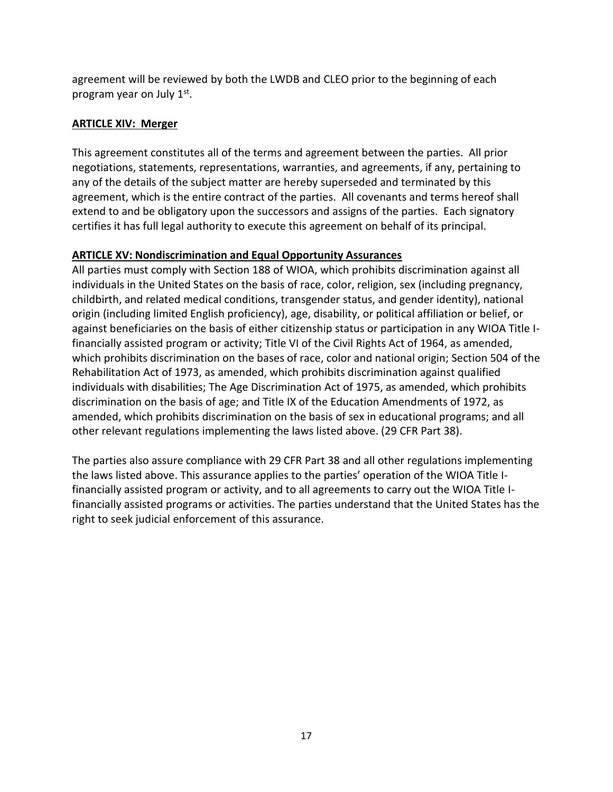agreement will be reviewed by both the LWDB and CLEO prior to the beginning of each program year on July 1st.

# **ARTICLE XIV: Merger**

This agreement constitutes all of the terms and agreement between the parties. All prior negotiations, statements, representations, warranties, and agreements, if any, pertaining to any of the details of the subject matter are hereby superseded and terminated by this agreement, which is the entire contract of the parties. All covenants and terms hereof shall extend to and be obligatory upon the successors and assigns of the parties. Each signatory certifies it has full legal authority to execute this agreement on behalf of its principal.

# **ARTICLE XV: Nondiscrimination and Equal Opportunity Assurances**

All parties must comply with Section 188 of WIOA, which prohibits discrimination against all individuals in the United States on the basis of race, color, religion, sex (including pregnancy, childbirth, and related medical conditions, transgender status, and gender identity), national origin (including limited English proficiency), age, disability, or political affiliation or belief, or against beneficiaries on the basis of either citizenship status or participation in any WIOA Title Ifinancially assisted program or activity; Title VI of the Civil Rights Act of 1964, as amended, which prohibits discrimination on the bases of race, color and national origin; Section 504 of the Rehabilitation Act of 1973, as amended, which prohibits discrimination against qualified individuals with disabilities; The Age Discrimination Act of 1975, as amended, which prohibits discrimination on the basis of age; and Title IX of the Education Amendments of 1972, as amended, which prohibits discrimination on the basis of sex in educational programs; and all other relevant regulations implementing the laws listed above. (29 CFR Part 38).

The parties also assure compliance with 29 CFR Part 38 and all other regulations implementing the laws listed above. This assurance applies to the parties' operation of the WIOA Title Ifinancially assisted program or activity, and to all agreements to carry out the WIOA Title Ifinancially assisted programs or activities. The parties understand that the United States has the right to seek judicial enforcement of this assurance.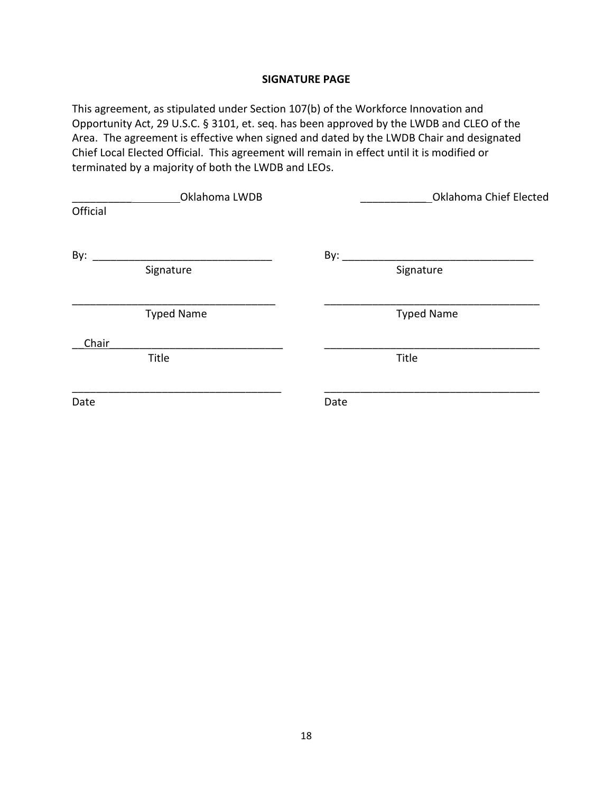#### **SIGNATURE PAGE**

This agreement, as stipulated under Section 107(b) of the Workforce Innovation and Opportunity Act, 29 U.S.C. § 3101, et. seq. has been approved by the LWDB and CLEO of the Area. The agreement is effective when signed and dated by the LWDB Chair and designated Chief Local Elected Official. This agreement will remain in effect until it is modified or terminated by a majority of both the LWDB and LEOs.

| Oklahoma LWDB     | Oklahoma Chief Elected |
|-------------------|------------------------|
| Official          |                        |
| By:<br>Signature  | By:<br>Signature       |
| <b>Typed Name</b> | <b>Typed Name</b>      |
| Chair             |                        |
| Title             | Title                  |
| Date              | Date                   |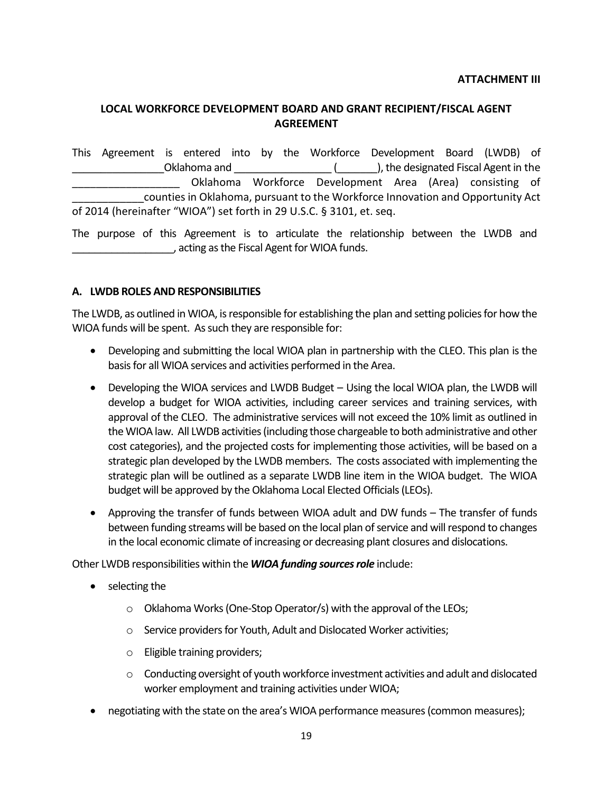### **LOCAL WORKFORCE DEVELOPMENT BOARD AND GRANT RECIPIENT/FISCAL AGENT AGREEMENT**

This Agreement is entered into by the Workforce Development Board (LWDB) of \_\_\_\_\_\_\_\_\_\_\_\_\_\_\_\_Oklahoma and \_\_\_\_\_\_\_\_\_\_\_\_\_\_\_\_\_ (\_\_\_\_\_\_\_), the designated Fiscal Agent in the Oklahoma Workforce Development Area (Area) consisting of \_\_\_\_\_\_\_\_\_\_\_\_counties in Oklahoma, pursuant to the Workforce Innovation and Opportunity Act of 2014 (hereinafter "WIOA") set forth in 29 U.S.C. § 3101, et. seq.

The purpose of this Agreement is to articulate the relationship between the LWDB and \_\_\_\_\_\_\_\_\_\_\_\_\_\_\_\_\_\_, acting as the Fiscal Agent for WIOA funds.

### **A. LWDB ROLES AND RESPONSIBILITIES**

The LWDB, as outlined in WIOA, is responsible for establishing the plan and setting policies for how the WIOA funds will be spent. As such they are responsible for:

- Developing and submitting the local WIOA plan in partnership with the CLEO. This plan is the basis for all WIOA services and activities performed in the Area.
- Developing the WIOA services and LWDB Budget Using the local WIOA plan, the LWDB will develop a budget for WIOA activities, including career services and training services, with approval of the CLEO. The administrative services will not exceed the 10% limit as outlined in the WIOA law. All LWDB activities (including those chargeable to both administrative and other cost categories), and the projected costs for implementing those activities, will be based on a strategic plan developed by the LWDB members. The costs associated with implementing the strategic plan will be outlined as a separate LWDB line item in the WIOA budget. The WIOA budget will be approved by the Oklahoma Local Elected Officials (LEOs).
- Approving the transfer of funds between WIOA adult and DW funds The transfer of funds between funding streams will be based on the local plan of service and will respond to changes in the local economic climate of increasing or decreasing plant closures and dislocations.

Other LWDB responsibilities within the *WIOA funding sources role* include:

- selecting the
	- o Oklahoma Works (One-Stop Operator/s) with the approval of the LEOs;
	- o Service providers for Youth, Adult and Dislocated Worker activities;
	- o Eligible training providers;
	- $\circ$  Conducting oversight of youth workforce investment activities and adult and dislocated worker employment and training activities under WIOA;
- negotiating with the state on the area's WIOA performance measures (common measures);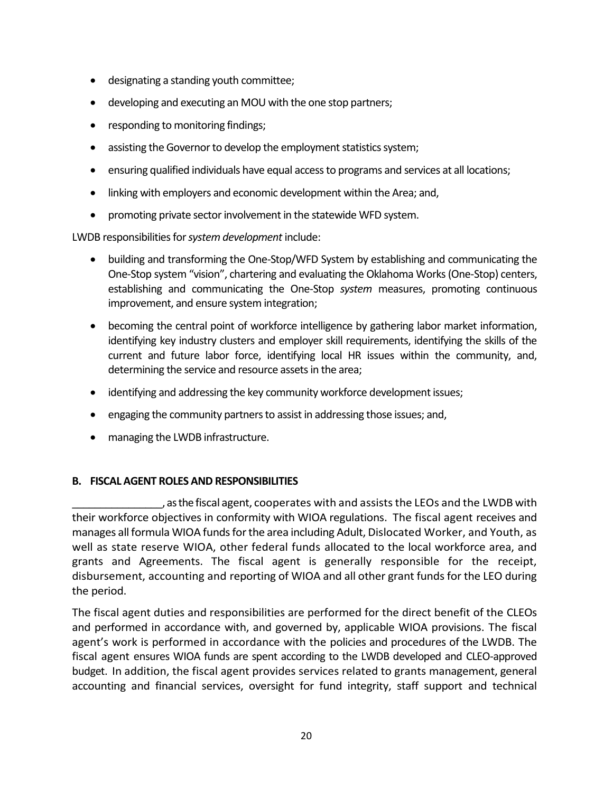- designating a standing youth committee;
- developing and executing an MOU with the one stop partners;
- responding to monitoring findings;
- assisting the Governor to develop the employment statistics system;
- ensuring qualified individuals have equal access to programs and services at all locations;
- linking with employers and economic development within the Area; and,
- promoting private sector involvement in the statewide WFD system.

LWDB responsibilities for *system development* include:

- building and transforming the One-Stop/WFD System by establishing and communicating the One-Stop system "vision", chartering and evaluating the Oklahoma Works (One-Stop) centers, establishing and communicating the One-Stop *system* measures, promoting continuous improvement, and ensure system integration;
- becoming the central point of workforce intelligence by gathering labor market information, identifying key industry clusters and employer skill requirements, identifying the skills of the current and future labor force, identifying local HR issues within the community, and, determining the service and resource assets in the area;
- identifying and addressing the key community workforce development issues;
- engaging the community partners to assist in addressing those issues; and,
- managing the LWDB infrastructure.

# **B. FISCAL AGENT ROLES AND RESPONSIBILITIES**

\_\_\_\_\_\_\_\_\_\_\_\_\_\_\_\_, as thefiscal agent, cooperates with and assists the LEOs and the LWDB with their workforce objectives in conformity with WIOA regulations. The fiscal agent receives and manages all formula WIOA funds for the area including Adult, Dislocated Worker, and Youth, as well as state reserve WIOA, other federal funds allocated to the local workforce area, and grants and Agreements. The fiscal agent is generally responsible for the receipt, disbursement, accounting and reporting of WIOA and all other grant funds for the LEO during the period.

The fiscal agent duties and responsibilities are performed for the direct benefit of the CLEOs and performed in accordance with, and governed by, applicable WIOA provisions. The fiscal agent's work is performed in accordance with the policies and procedures of the LWDB. The fiscal agent ensures WIOA funds are spent according to the LWDB developed and CLEO-approved budget. In addition, the fiscal agent provides services related to grants management, general accounting and financial services, oversight for fund integrity, staff support and technical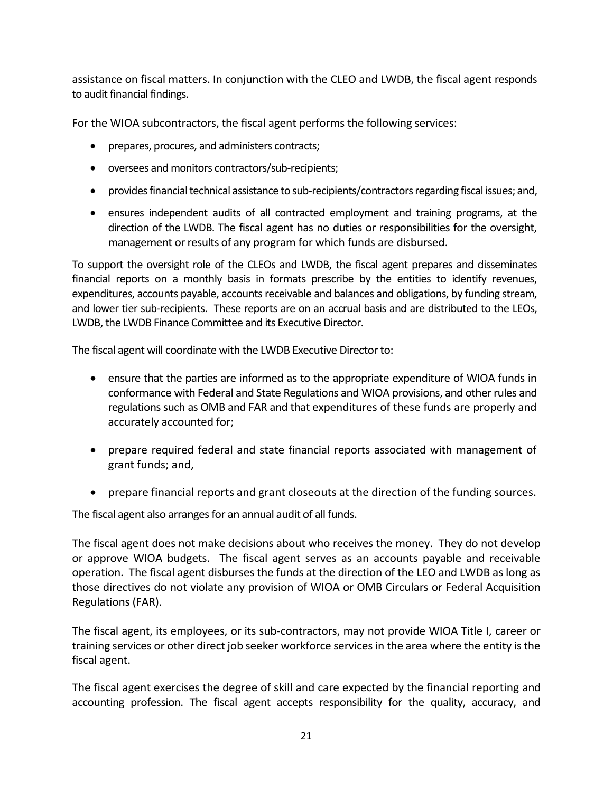assistance on fiscal matters. In conjunction with the CLEO and LWDB, the fiscal agent responds to audit financial findings.

For the WIOA subcontractors, the fiscal agent performs the following services:

- prepares, procures, and administers contracts;
- oversees and monitors contractors/sub-recipients;
- provides financial technical assistance to sub-recipients/contractors regarding fiscal issues; and,
- ensures independent audits of all contracted employment and training programs, at the direction of the LWDB. The fiscal agent has no duties or responsibilities for the oversight, management or results of any program for which funds are disbursed.

To support the oversight role of the CLEOs and LWDB, the fiscal agent prepares and disseminates financial reports on a monthly basis in formats prescribe by the entities to identify revenues, expenditures, accounts payable, accounts receivable and balances and obligations, by funding stream, and lower tier sub-recipients. These reports are on an accrual basis and are distributed to the LEOs, LWDB, the LWDB Finance Committee and its Executive Director.

The fiscal agent will coordinate with the LWDB Executive Director to:

- ensure that the parties are informed as to the appropriate expenditure of WIOA funds in conformance with Federal and State Regulations and WIOA provisions, and other rules and regulations such as OMB and FAR and that expenditures of these funds are properly and accurately accounted for;
- prepare required federal and state financial reports associated with management of grant funds; and,
- prepare financial reports and grant closeouts at the direction of the funding sources.

The fiscal agent also arranges for an annual audit of all funds.

The fiscal agent does not make decisions about who receives the money. They do not develop or approve WIOA budgets. The fiscal agent serves as an accounts payable and receivable operation. The fiscal agent disburses the funds at the direction of the LEO and LWDB as long as those directives do not violate any provision of WIOA or OMB Circulars or Federal Acquisition Regulations (FAR).

The fiscal agent, its employees, or its sub-contractors, may not provide WIOA Title I, career or training services or other direct job seeker workforce services in the area where the entity is the fiscal agent.

The fiscal agent exercises the degree of skill and care expected by the financial reporting and accounting profession. The fiscal agent accepts responsibility for the quality, accuracy, and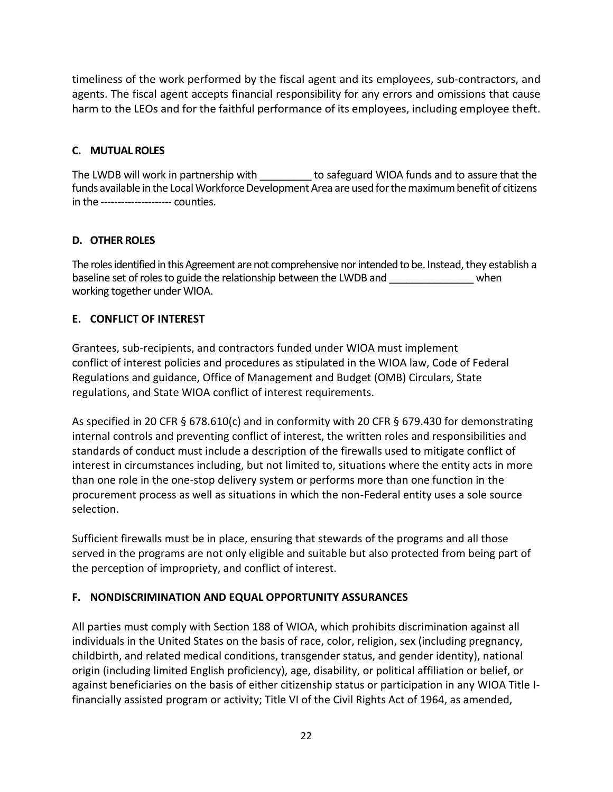timeliness of the work performed by the fiscal agent and its employees, sub-contractors, and agents. The fiscal agent accepts financial responsibility for any errors and omissions that cause harm to the LEOs and for the faithful performance of its employees, including employee theft.

# **C. MUTUAL ROLES**

The LWDB will work in partnership with to safeguard WIOA funds and to assure that the funds available in the Local Workforce Development Area are used for the maximum benefit of citizens in the --------------------- counties.

# **D. OTHER ROLES**

The roles identified in this Agreement are not comprehensive nor intended to be. Instead, they establish a baseline set of roles to guide the relationship between the LWDB and \_\_\_\_\_\_\_\_\_\_\_\_\_\_\_ when working together under WIOA.

# **E. CONFLICT OF INTEREST**

Grantees, sub-recipients, and contractors funded under WIOA must implement conflict of interest policies and procedures as stipulated in the WIOA law, Code of Federal Regulations and guidance, Office of Management and Budget (OMB) Circulars, State regulations, and State WIOA conflict of interest requirements.

As specified in 20 CFR § 678.610(c) and in conformity with 20 CFR § 679.430 for demonstrating internal controls and preventing conflict of interest, the written roles and responsibilities and standards of conduct must include a description of the firewalls used to mitigate conflict of interest in circumstances including, but not limited to, situations where the entity acts in more than one role in the one-stop delivery system or performs more than one function in the procurement process as well as situations in which the non-Federal entity uses a sole source selection.

Sufficient firewalls must be in place, ensuring that stewards of the programs and all those served in the programs are not only eligible and suitable but also protected from being part of the perception of impropriety, and conflict of interest.

# **F. NONDISCRIMINATION AND EQUAL OPPORTUNITY ASSURANCES**

All parties must comply with Section 188 of WIOA, which prohibits discrimination against all individuals in the United States on the basis of race, color, religion, sex (including pregnancy, childbirth, and related medical conditions, transgender status, and gender identity), national origin (including limited English proficiency), age, disability, or political affiliation or belief, or against beneficiaries on the basis of either citizenship status or participation in any WIOA Title Ifinancially assisted program or activity; Title VI of the Civil Rights Act of 1964, as amended,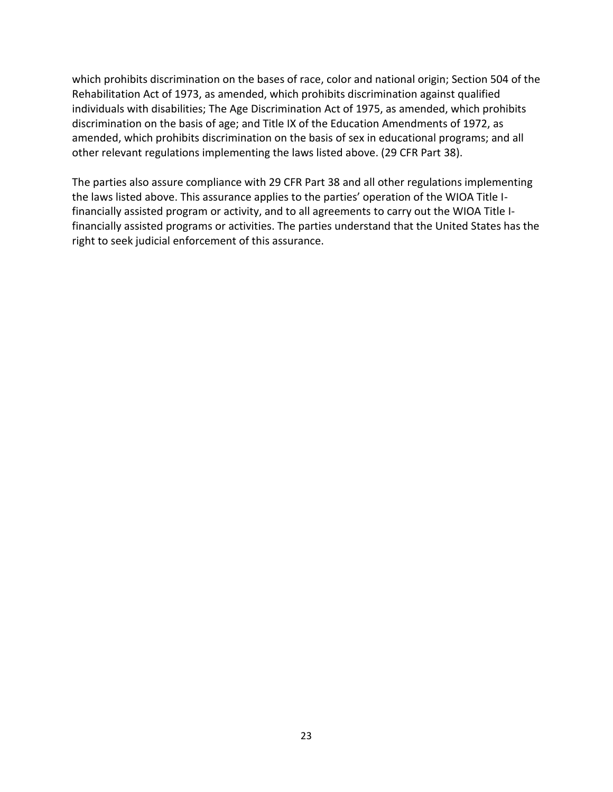which prohibits discrimination on the bases of race, color and national origin; Section 504 of the Rehabilitation Act of 1973, as amended, which prohibits discrimination against qualified individuals with disabilities; The Age Discrimination Act of 1975, as amended, which prohibits discrimination on the basis of age; and Title IX of the Education Amendments of 1972, as amended, which prohibits discrimination on the basis of sex in educational programs; and all other relevant regulations implementing the laws listed above. (29 CFR Part 38).

The parties also assure compliance with 29 CFR Part 38 and all other regulations implementing the laws listed above. This assurance applies to the parties' operation of the WIOA Title Ifinancially assisted program or activity, and to all agreements to carry out the WIOA Title Ifinancially assisted programs or activities. The parties understand that the United States has the right to seek judicial enforcement of this assurance.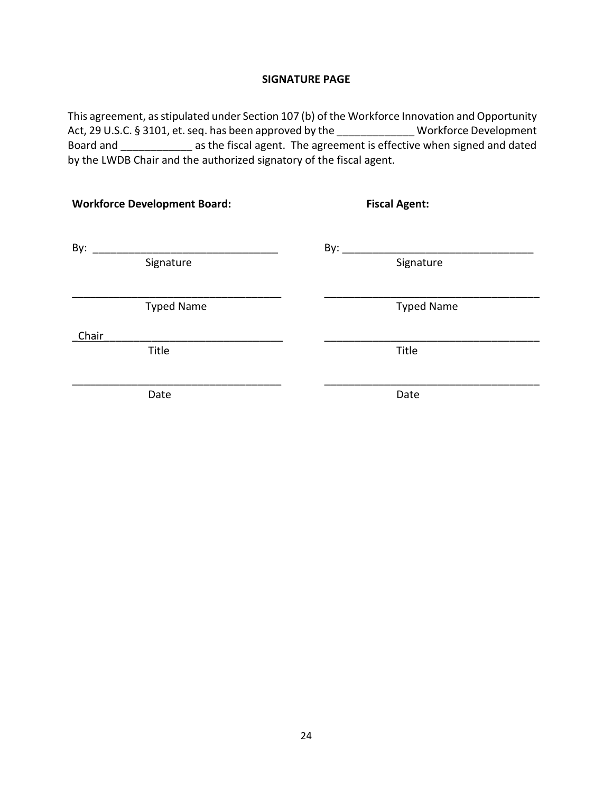#### **SIGNATURE PAGE**

This agreement, as stipulated under Section 107 (b) of the Workforce Innovation and Opportunity Act, 29 U.S.C. § 3101, et. seq. has been approved by the \_\_\_\_\_\_\_\_\_\_\_\_\_\_\_Workforce Development Board and \_\_\_\_\_\_\_\_\_\_\_\_ as the fiscal agent. The agreement is effective when signed and dated by the LWDB Chair and the authorized signatory of the fiscal agent.

| <b>Workforce Development Board:</b> | <b>Fiscal Agent:</b> |  |  |  |
|-------------------------------------|----------------------|--|--|--|
| By:                                 | By:                  |  |  |  |
| Signature                           | Signature            |  |  |  |
| <b>Typed Name</b>                   | <b>Typed Name</b>    |  |  |  |
| Chair                               |                      |  |  |  |
| Title                               | Title                |  |  |  |
| Date                                | Date                 |  |  |  |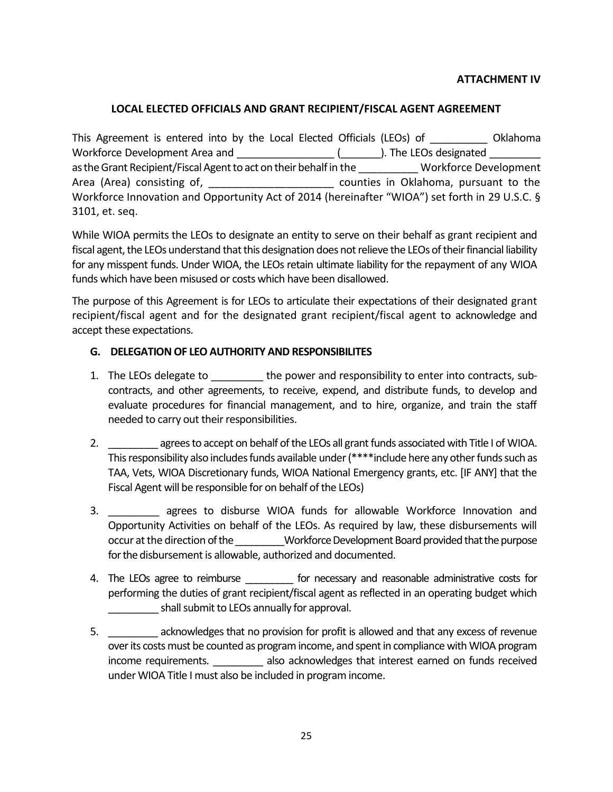### **ATTACHMENT IV**

### **LOCAL ELECTED OFFICIALS AND GRANT RECIPIENT/FISCAL AGENT AGREEMENT**

| This Agreement is entered into by the Local Elected Officials (LEOs) of                                                                           |  |                                       | <b>Oklahoma</b> |
|---------------------------------------------------------------------------------------------------------------------------------------------------|--|---------------------------------------|-----------------|
| Workforce Development Area and<br>the contract of the contract of the contract of the contract of the contract of the contract of the contract of |  | ). The LEOs designated                |                 |
| as the Grant Recipient/Fiscal Agent to act on their behalf in the                                                                                 |  | <b>Workforce Development</b>          |                 |
| Area (Area) consisting of,                                                                                                                        |  | counties in Oklahoma, pursuant to the |                 |
| Workforce Innovation and Opportunity Act of 2014 (hereinafter "WIOA") set forth in 29 U.S.C. §                                                    |  |                                       |                 |
| 3101, et. seq.                                                                                                                                    |  |                                       |                 |

While WIOA permits the LEOs to designate an entity to serve on their behalf as grant recipient and fiscal agent, the LEOs understand that this designation does not relieve the LEOs of their financial liability for any misspent funds. Under WIOA, the LEOs retain ultimate liability for the repayment of any WIOA funds which have been misused or costs which have been disallowed.

The purpose of this Agreement is for LEOs to articulate their expectations of their designated grant recipient/fiscal agent and for the designated grant recipient/fiscal agent to acknowledge and accept these expectations.

#### **G. DELEGATION OF LEO AUTHORITY AND RESPONSIBILITES**

- 1. The LEOs delegate to the power and responsibility to enter into contracts, subcontracts, and other agreements, to receive, expend, and distribute funds, to develop and evaluate procedures for financial management, and to hire, organize, and train the staff needed to carry out their responsibilities.
- 2. **Example 2.** agrees to accept on behalf of the LEOs all grant funds associated with Title I of WIOA. This responsibility also includes funds available under (\*\*\*\*include here any other funds such as TAA, Vets, WIOA Discretionary funds, WIOA National Emergency grants, etc. [IF ANY] that the Fiscal Agent will be responsible for on behalf of the LEOs)
- 3. \_\_\_\_\_\_\_\_\_ agrees to disburse WIOA funds for allowable Workforce Innovation and Opportunity Activities on behalf of the LEOs. As required by law, these disbursements will occur at the direction of the \_\_\_\_\_\_\_\_\_Workforce Development Board provided that the purpose for the disbursement is allowable, authorized and documented.
- 4. The LEOs agree to reimburse **Execute 12** for necessary and reasonable administrative costs for performing the duties of grant recipient/fiscal agent as reflected in an operating budget which shall submit to LEOs annually for approval.
- 5. \_\_\_\_\_\_\_\_\_ acknowledges that no provision for profit is allowed and that any excess of revenue over its costs must be counted as program income, and spent in compliance with WIOA program income requirements. **Example 2** also acknowledges that interest earned on funds received under WIOA Title I must also be included in program income.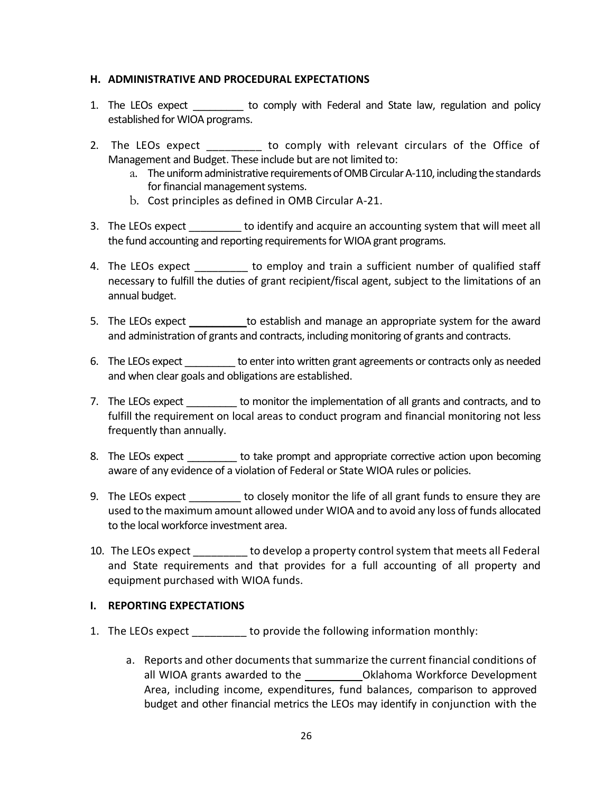### **H. ADMINISTRATIVE AND PROCEDURAL EXPECTATIONS**

- 1. The LEOs expect \_\_\_\_\_\_\_\_ to comply with Federal and State law, regulation and policy established for WIOA programs.
- 2. The LEOs expect \_\_\_\_\_\_\_\_ to comply with relevant circulars of the Office of Management and Budget. These include but are not limited to:
	- a. The uniform administrative requirements of OMB Circular A-110, including the standards for financial management systems.
	- b. Cost principles as defined in OMB Circular A-21.
- 3. The LEOs expect extend to identify and acquire an accounting system that will meet all the fund accounting and reporting requirements for WIOA grant programs.
- 4. The LEOs expect **to employ and train a sufficient number of qualified staff** necessary to fulfill the duties of grant recipient/fiscal agent, subject to the limitations of an annual budget.
- 5. The LEOs expect **the summan is the setablish and manage an appropriate system for the award** and administration of grants and contracts, including monitoring of grants and contracts.
- 6. The LEOs expect to enter into written grant agreements or contracts only as needed and when clear goals and obligations are established.
- 7. The LEOs expect to monitor the implementation of all grants and contracts, and to fulfill the requirement on local areas to conduct program and financial monitoring not less frequently than annually.
- 8. The LEOs expect **business** to take prompt and appropriate corrective action upon becoming aware of any evidence of a violation of Federal or State WIOA rules or policies.
- 9. The LEOs expect the closely monitor the life of all grant funds to ensure they are used to the maximum amount allowed under WIOA and to avoid any loss of funds allocated to the local workforce investment area.
- 10. The LEOs expect to develop a property control system that meets all Federal and State requirements and that provides for a full accounting of all property and equipment purchased with WIOA funds.

### **I. REPORTING EXPECTATIONS**

- 1. The LEOs expect \_\_\_\_\_\_\_\_\_ to provide the following information monthly:
	- a. Reports and other documents that summarize the current financial conditions of all WIOA grants awarded to the Oklahoma Workforce Development Area, including income, expenditures, fund balances, comparison to approved budget and other financial metrics the LEOs may identify in conjunction with the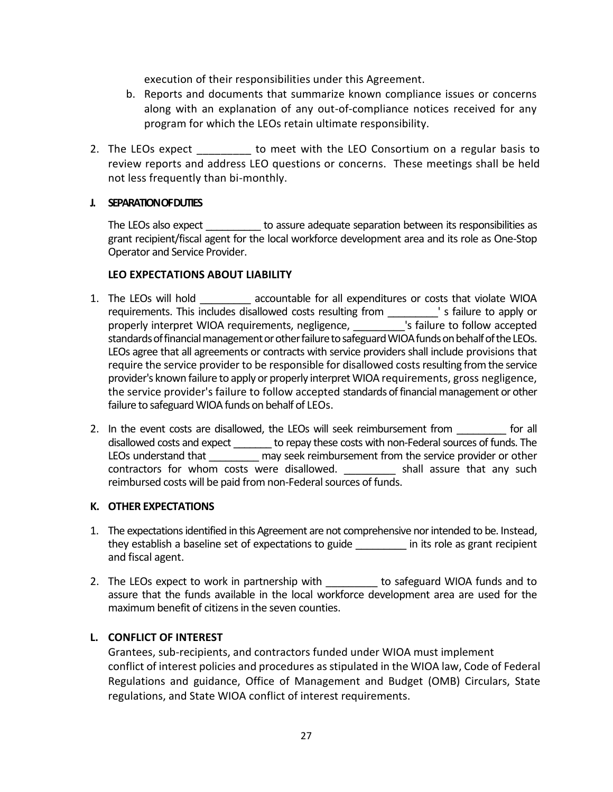execution of their responsibilities under this Agreement.

- b. Reports and documents that summarize known compliance issues or concerns along with an explanation of any out-of-compliance notices received for any program for which the LEOs retain ultimate responsibility.
- 2. The LEOs expect extends to meet with the LEO Consortium on a regular basis to review reports and address LEO questions or concerns. These meetings shall be held not less frequently than bi-monthly.

### **J. SEPARATION OF DUTIES**

The LEOs also expect to assure adequate separation between its responsibilities as grant recipient/fiscal agent for the local workforce development area and its role as One-Stop Operator and Service Provider.

### **LEO EXPECTATIONS ABOUT LIABILITY**

- 1. The LEOs will hold **EXECO accountable for all expenditures or costs that violate WIOA** requirements. This includes disallowed costs resulting from \_\_\_\_\_\_\_\_\_' s failure to apply or properly interpret WIOA requirements, negligence, \_\_\_\_\_\_\_\_\_'s failure to follow accepted standards of financial management or other failure to safeguard WIOA funds on behalf of the LEOs. LEOs agree that all agreements or contracts with service providers shall include provisions that require the service provider to be responsible for disallowed costs resulting from the service provider's known failure to apply or properly interpret WIOA requirements, gross negligence, the service provider's failure to follow accepted standards of financial management or other failure to safeguard WIOA funds on behalf of LEOs.
- 2. In the event costs are disallowed, the LEOs will seek reimbursement from The for all disallowed costs and expect \_\_\_\_\_\_\_ to repay these costs with non-Federal sources of funds. The LEOs understand that The may seek reimbursement from the service provider or other contractors for whom costs were disallowed. \_\_\_\_\_\_\_\_\_\_ shall assure that any such reimbursed costs will be paid from non-Federal sources of funds.

### **K. OTHER EXPECTATIONS**

- 1. The expectations identified in this Agreement are not comprehensive nor intended to be. Instead, they establish a baseline set of expectations to guide \_\_\_\_\_\_\_\_\_\_ in its role as grant recipient and fiscal agent.
- 2. The LEOs expect to work in partnership with the safeguard WIOA funds and to assure that the funds available in the local workforce development area are used for the maximum benefit of citizens in the seven counties.

# **L. CONFLICT OF INTEREST**

Grantees, sub-recipients, and contractors funded under WIOA must implement conflict of interest policies and procedures as stipulated in the WIOA law, Code of Federal Regulations and guidance, Office of Management and Budget (OMB) Circulars, State regulations, and State WIOA conflict of interest requirements.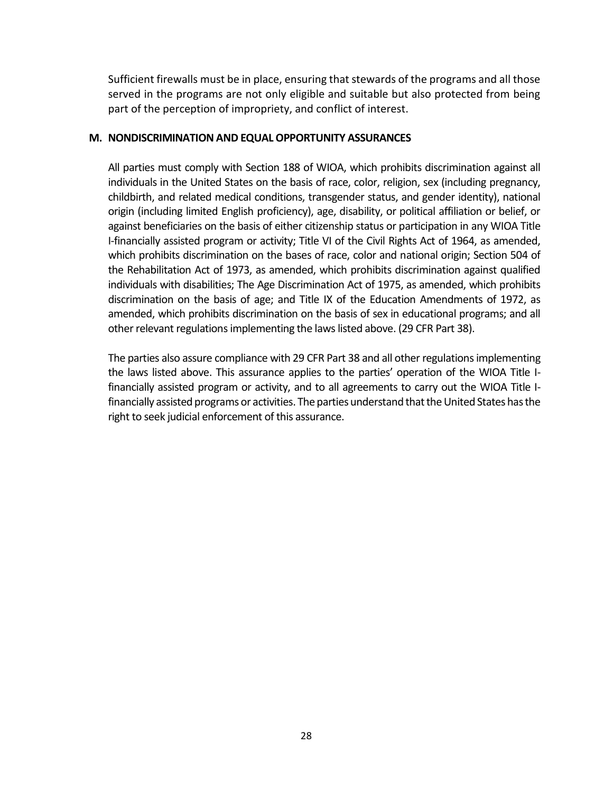Sufficient firewalls must be in place, ensuring that stewards of the programs and all those served in the programs are not only eligible and suitable but also protected from being part of the perception of impropriety, and conflict of interest.

#### **M. NONDISCRIMINATION AND EQUAL OPPORTUNITY ASSURANCES**

All parties must comply with Section 188 of WIOA, which prohibits discrimination against all individuals in the United States on the basis of race, color, religion, sex (including pregnancy, childbirth, and related medical conditions, transgender status, and gender identity), national origin (including limited English proficiency), age, disability, or political affiliation or belief, or against beneficiaries on the basis of either citizenship status or participation in any WIOA Title I-financially assisted program or activity; Title VI of the Civil Rights Act of 1964, as amended, which prohibits discrimination on the bases of race, color and national origin; Section 504 of the Rehabilitation Act of 1973, as amended, which prohibits discrimination against qualified individuals with disabilities; The Age Discrimination Act of 1975, as amended, which prohibits discrimination on the basis of age; and Title IX of the Education Amendments of 1972, as amended, which prohibits discrimination on the basis of sex in educational programs; and all other relevant regulations implementing the laws listed above. (29 CFR Part 38).

The parties also assure compliance with 29 CFR Part 38 and all other regulations implementing the laws listed above. This assurance applies to the parties' operation of the WIOA Title Ifinancially assisted program or activity, and to all agreements to carry out the WIOA Title Ifinancially assisted programs or activities. The parties understand that the United States has the right to seek judicial enforcement of this assurance.